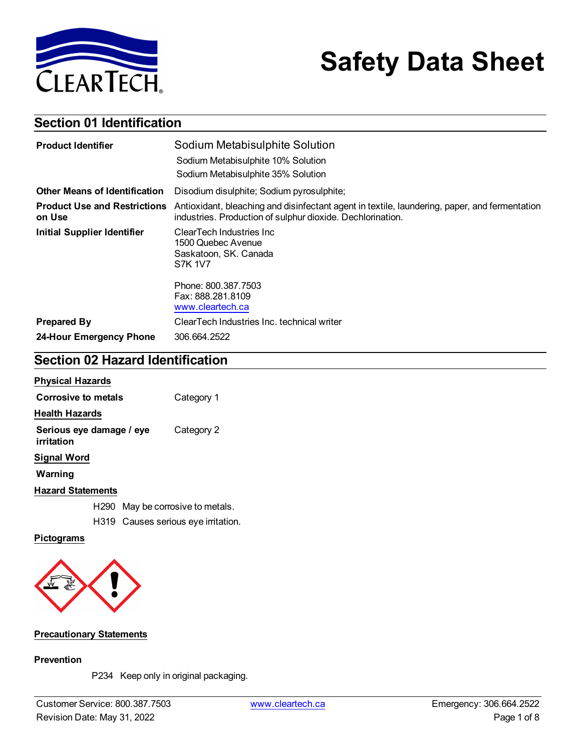

# **Safety Data Sheet**

# **Section 01 Identification**

| <b>Product Identifier</b>                     | Sodium Metabisulphite Solution                                                                                                                              |  |
|-----------------------------------------------|-------------------------------------------------------------------------------------------------------------------------------------------------------------|--|
|                                               | Sodium Metabisulphite 10% Solution                                                                                                                          |  |
|                                               | Sodium Metabisulphite 35% Solution                                                                                                                          |  |
| <b>Other Means of Identification</b>          | Disodium disulphite; Sodium pyrosulphite;                                                                                                                   |  |
| <b>Product Use and Restrictions</b><br>on Use | Antioxidant, bleaching and disinfectant agent in textile, laundering, paper, and fermentation<br>industries. Production of sulphur dioxide. Dechlorination. |  |
| <b>Initial Supplier Identifier</b>            | ClearTech Industries Inc<br>1500 Quebec Avenue<br>Saskatoon, SK. Canada<br><b>S7K 1V7</b>                                                                   |  |
|                                               | Phone: 800.387.7503<br>Fax: 888.281.8109<br>www.cleartech.ca                                                                                                |  |
| <b>Prepared By</b>                            | ClearTech Industries Inc. technical writer                                                                                                                  |  |
| 24-Hour Emergency Phone                       | 306.664.2522                                                                                                                                                |  |

# **Section 02 Hazard Identification**

| <b>Physical Hazards</b>                |                                     |
|----------------------------------------|-------------------------------------|
| Corrosive to metals                    | Category 1                          |
| <b>Health Hazards</b>                  |                                     |
| Serious eye damage / eye<br>irritation | Category 2                          |
| Signal Word                            |                                     |
| Warning                                |                                     |
| <b>Hazard Statements</b>               |                                     |
| H290                                   | May be corrosive to metals.         |
|                                        | H319 Causes serious eye irritation. |

### **Pictograms**



### **Precautionary Statements**

### **Prevention**

P234 Keep only in original packaging.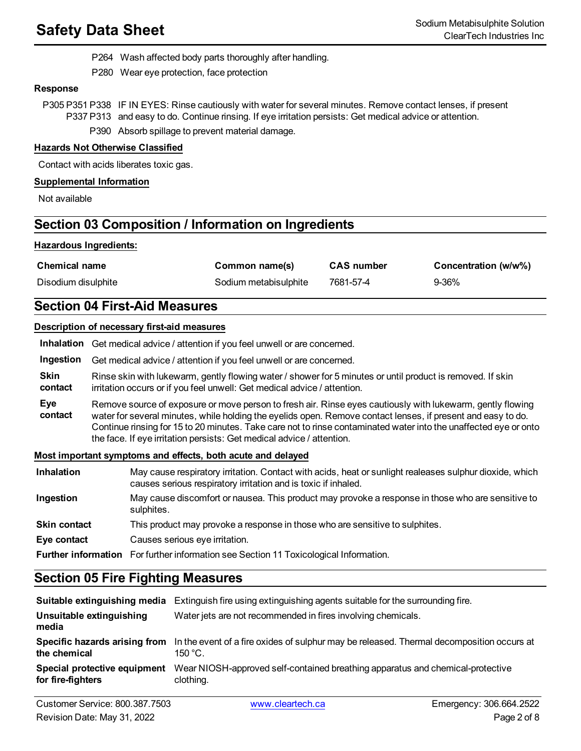P264 Wash affected body parts thoroughly after handling.

P280 Wear eye protection, face protection

### **Response**

P305 P351 P338 IF IN EYES: Rinse cautiously with water for several minutes. Remove contact lenses, if present P337 P313 and easy to do. Continue rinsing. If eye irritation persists: Get medical advice or attention.

P390 Absorb spillage to prevent material damage.

### **Hazards Not Otherwise Classified**

Contact with acids liberates toxic gas.

### **Supplemental Information**

Not available

# **Section 03 Composition / Information on Ingredients**

### **Hazardous Ingredients:**

| <b>Chemical name</b> | Common name(s)        | <b>CAS number</b> | Concentration (w/w%) |
|----------------------|-----------------------|-------------------|----------------------|
| Disodium disulphite  | Sodium metabisulphite | 7681-57-4         | 9-36%                |

# **Section 04 First-Aid Measures**

### **Description of necessary first-aid measures**

|                        | Inhalation Get medical advice / attention if you feel unwell or are concerned.                                                                                                                                                                                                                                                                                                                                          |
|------------------------|-------------------------------------------------------------------------------------------------------------------------------------------------------------------------------------------------------------------------------------------------------------------------------------------------------------------------------------------------------------------------------------------------------------------------|
| Ingestion              | Get medical advice / attention if you feel unwell or are concerned.                                                                                                                                                                                                                                                                                                                                                     |
| <b>Skin</b><br>contact | Rinse skin with lukewarm, gently flowing water / shower for 5 minutes or until product is removed. If skin<br>irritation occurs or if you feel unwell: Get medical advice / attention.                                                                                                                                                                                                                                  |
| Eye<br>contact         | Remove source of exposure or move person to fresh air. Rinse eyes cautiously with lukewarm, gently flowing<br>water for several minutes, while holding the eyelids open. Remove contact lenses, if present and easy to do.<br>Continue rinsing for 15 to 20 minutes. Take care not to rinse contaminated water into the unaffected eye or onto<br>the face. If eye irritation persists: Get medical advice / attention. |
|                        | Most important symptoms and effects, both acute and delayed                                                                                                                                                                                                                                                                                                                                                             |

| <b>Inhalation</b> | May cause respiratory irritation. Contact with acids, heat or sunlight realeases sulphur dioxide, which<br>causes serious respiratory irritation and is toxic if inhaled. |
|-------------------|---------------------------------------------------------------------------------------------------------------------------------------------------------------------------|
| Ingestion         | May cause discomfort or nausea. This product may provoke a response in those who are sensitive to<br>sulphites.                                                           |
| Skin contact      | This product may provoke a response in those who are sensitive to sulphites.                                                                                              |
| Eye contact       | Causes serious eye irritation.                                                                                                                                            |
|                   | <b>Further information</b> For further information see Section 11 Toxicological Information.                                                                              |

# **Section 05 Fire Fighting Measures**

|                                                   | <b>Suitable extinguishing media</b> Extinguish fire using extinguishing agents suitable for the surrounding fire.                     |
|---------------------------------------------------|---------------------------------------------------------------------------------------------------------------------------------------|
| Unsuitable extinguishing<br>media                 | Water jets are not recommended in fires involving chemicals.                                                                          |
| the chemical                                      | Specific hazards arising from In the event of a fire oxides of sulphur may be released. Thermal decomposition occurs at<br>$150 °C$ . |
| Special protective equipment<br>for fire-fighters | Wear NIOSH-approved self-contained breathing apparatus and chemical-protective<br>clothing.                                           |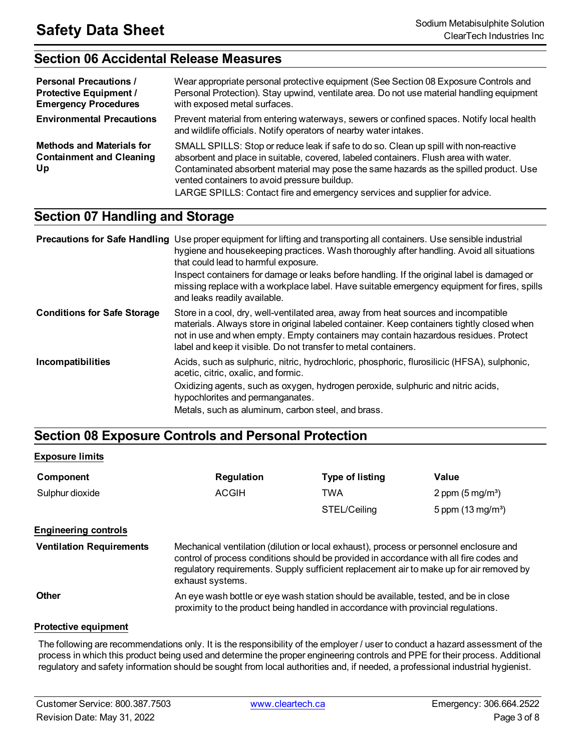# **Section 06 Accidental Release Measures**

| <b>Personal Precautions /</b><br><b>Protective Equipment /</b><br><b>Emergency Procedures</b> | Wear appropriate personal protective equipment (See Section 08 Exposure Controls and<br>Personal Protection). Stay upwind, ventilate area. Do not use material handling equipment<br>with exposed metal surfaces.                                                                                                                                                                                   |
|-----------------------------------------------------------------------------------------------|-----------------------------------------------------------------------------------------------------------------------------------------------------------------------------------------------------------------------------------------------------------------------------------------------------------------------------------------------------------------------------------------------------|
| <b>Environmental Precautions</b>                                                              | Prevent material from entering waterways, sewers or confined spaces. Notify local health<br>and wildlife officials. Notify operators of nearby water intakes.                                                                                                                                                                                                                                       |
| <b>Methods and Materials for</b><br><b>Containment and Cleaning</b><br>Up                     | SMALL SPILLS: Stop or reduce leak if safe to do so. Clean up spill with non-reactive<br>absorbent and place in suitable, covered, labeled containers. Flush area with water.<br>Contaminated absorbent material may pose the same hazards as the spilled product. Use<br>vented containers to avoid pressure buildup.<br>LARGE SPILLS: Contact fire and emergency services and supplier for advice. |

# **Section 07 Handling and Storage**

|                                    | <b>Precautions for Safe Handling</b> Use proper equipment for lifting and transporting all containers. Use sensible industrial<br>hygiene and housekeeping practices. Wash thoroughly after handling. Avoid all situations<br>that could lead to harmful exposure.<br>Inspect containers for damage or leaks before handling. If the original label is damaged or<br>missing replace with a workplace label. Have suitable emergency equipment for fires, spills<br>and leaks readily available. |
|------------------------------------|--------------------------------------------------------------------------------------------------------------------------------------------------------------------------------------------------------------------------------------------------------------------------------------------------------------------------------------------------------------------------------------------------------------------------------------------------------------------------------------------------|
| <b>Conditions for Safe Storage</b> | Store in a cool, dry, well-ventilated area, away from heat sources and incompatible<br>materials. Always store in original labeled container. Keep containers tightly closed when<br>not in use and when empty. Empty containers may contain hazardous residues. Protect<br>label and keep it visible. Do not transfer to metal containers.                                                                                                                                                      |
| Incompatibilities                  | Acids, such as sulphuric, nitric, hydrochloric, phosphoric, flurosilicic (HFSA), sulphonic,<br>acetic, citric, oxalic, and formic.<br>Oxidizing agents, such as oxygen, hydrogen peroxide, sulphuric and nitric acids,<br>hypochlorites and permanganates.                                                                                                                                                                                                                                       |
|                                    | Metals, such as aluminum, carbon steel, and brass.                                                                                                                                                                                                                                                                                                                                                                                                                                               |

# **Section 08 Exposure Controls and Personal Protection**

### **Exposure limits**

| Component       | Regulation | <b>Type of listing</b> | Value                       |
|-----------------|------------|------------------------|-----------------------------|
| Sulphur dioxide | ACGIH      | TWA                    | 2 ppm $(5 \text{ mg/m}^3)$  |
|                 |            | STEL/Ceiling           | 5 ppm $(13 \text{ mg/m}^3)$ |

### **Engineering controls**

**Ventilation Requirements** Mechanical ventilation (dilution or local exhaust), process or personnel enclosure and control of process conditions should be provided in accordance with all fire codes and regulatory requirements. Supply sufficient replacement air to make up for air removed by exhaust systems.

**Other An eye wash bottle or eye wash station should be available, tested, and be in close** proximity to the product being handled in accordance with provincial regulations.

### **Protective equipment**

The following are recommendations only. It is the responsibility of the employer / user to conduct a hazard assessment of the process in which this product being used and determine the proper engineering controls and PPE for their process. Additional regulatory and safety information should be sought from local authorities and, if needed, a professional industrial hygienist.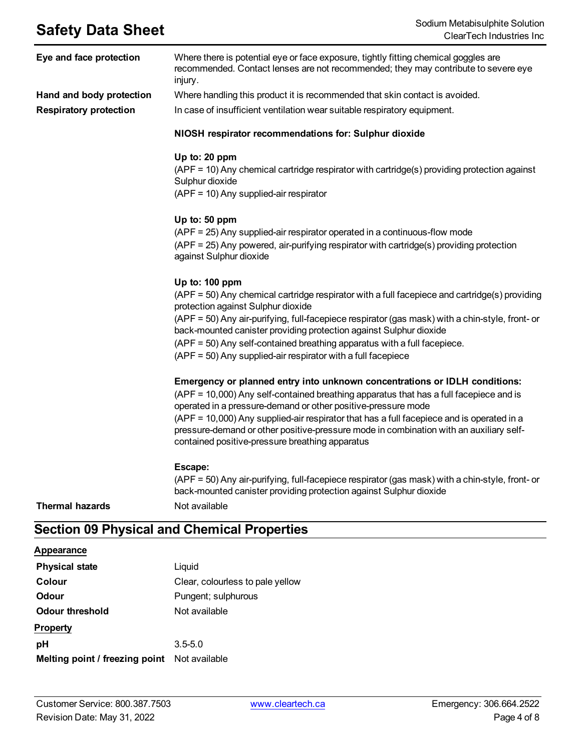| Eye and face protection       | Where there is potential eye or face exposure, tightly fitting chemical goggles are<br>recommended. Contact lenses are not recommended; they may contribute to severe eye<br>injury.                                                                                                                                                                                                                                                                                            |
|-------------------------------|---------------------------------------------------------------------------------------------------------------------------------------------------------------------------------------------------------------------------------------------------------------------------------------------------------------------------------------------------------------------------------------------------------------------------------------------------------------------------------|
| Hand and body protection      | Where handling this product it is recommended that skin contact is avoided.                                                                                                                                                                                                                                                                                                                                                                                                     |
| <b>Respiratory protection</b> | In case of insufficient ventilation wear suitable respiratory equipment.                                                                                                                                                                                                                                                                                                                                                                                                        |
|                               | NIOSH respirator recommendations for: Sulphur dioxide                                                                                                                                                                                                                                                                                                                                                                                                                           |
|                               | Up to: 20 ppm<br>(APF = 10) Any chemical cartridge respirator with cartridge(s) providing protection against<br>Sulphur dioxide<br>(APF = 10) Any supplied-air respirator                                                                                                                                                                                                                                                                                                       |
|                               | Up to: 50 ppm<br>(APF = 25) Any supplied-air respirator operated in a continuous-flow mode<br>(APF = 25) Any powered, air-purifying respirator with cartridge(s) providing protection<br>against Sulphur dioxide                                                                                                                                                                                                                                                                |
|                               | Up to: 100 ppm<br>(APF = 50) Any chemical cartridge respirator with a full facepiece and cartridge(s) providing<br>protection against Sulphur dioxide<br>(APF = 50) Any air-purifying, full-facepiece respirator (gas mask) with a chin-style, front- or<br>back-mounted canister providing protection against Sulphur dioxide<br>(APF = 50) Any self-contained breathing apparatus with a full facepiece.<br>$(APF = 50)$ Any supplied-air respirator with a full facepiece    |
|                               | Emergency or planned entry into unknown concentrations or IDLH conditions:<br>(APF = 10,000) Any self-contained breathing apparatus that has a full facepiece and is<br>operated in a pressure-demand or other positive-pressure mode<br>(APF = 10,000) Any supplied-air respirator that has a full facepiece and is operated in a<br>pressure-demand or other positive-pressure mode in combination with an auxiliary self-<br>contained positive-pressure breathing apparatus |
| <b>Thermal hazards</b>        | Escape:<br>(APF = 50) Any air-purifying, full-facepiece respirator (gas mask) with a chin-style, front- or<br>back-mounted canister providing protection against Sulphur dioxide<br>Not available                                                                                                                                                                                                                                                                               |

# **Section 09 Physical and Chemical Properties**

## **Appearance**

| <b>Physical state</b>          | Liquid                           |
|--------------------------------|----------------------------------|
| Colour                         | Clear, colourless to pale yellow |
| Odour                          | Pungent; sulphurous              |
| Odour threshold                | Not available                    |
| <b>Property</b>                |                                  |
| рH                             | $3.5 - 5.0$                      |
| Melting point / freezing point | Not available                    |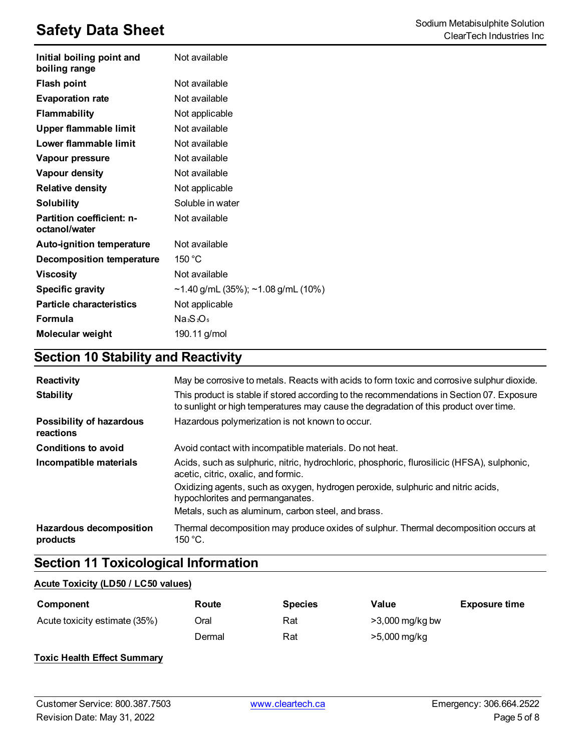| Initial boiling point and<br>boiling range | Not available                      |
|--------------------------------------------|------------------------------------|
| <b>Flash point</b>                         | Not available                      |
| <b>Evaporation rate</b>                    | Not available                      |
| <b>Flammability</b>                        | Not applicable                     |
| Upper flammable limit                      | Not available                      |
| Lower flammable limit                      | Not available                      |
| Vapour pressure                            | Not available                      |
| Vapour density                             | Not available                      |
| <b>Relative density</b>                    | Not applicable                     |
| <b>Solubility</b>                          | Soluble in water                   |
| Partition coefficient: n-<br>octanol/water | Not available                      |
| <b>Auto-ignition temperature</b>           | Not available                      |
| <b>Decomposition temperature</b>           | 150 $\degree$ C                    |
| <b>Viscosity</b>                           | Not available                      |
| <b>Specific gravity</b>                    | ~1.40 g/mL (35%); ~1.08 g/mL (10%) |
| <b>Particle characteristics</b>            | Not applicable                     |
| Formula                                    | Na <sub>2</sub> Os <sub>5</sub>    |
| <b>Molecular weight</b>                    | 190.11 g/mol                       |

# **Section 10 Stability and Reactivity**

| <b>Reactivity</b><br><b>Stability</b>        | May be corrosive to metals. Reacts with acids to form toxic and corrosive sulphur dioxide.<br>This product is stable if stored according to the recommendations in Section 07. Exposure<br>to sunlight or high temperatures may cause the degradation of this product over time. |
|----------------------------------------------|----------------------------------------------------------------------------------------------------------------------------------------------------------------------------------------------------------------------------------------------------------------------------------|
| <b>Possibility of hazardous</b><br>reactions | Hazardous polymerization is not known to occur.                                                                                                                                                                                                                                  |
| <b>Conditions to avoid</b>                   | Avoid contact with incompatible materials. Do not heat.                                                                                                                                                                                                                          |
| Incompatible materials                       | Acids, such as sulphuric, nitric, hydrochloric, phosphoric, flurosilicic (HFSA), sulphonic,<br>acetic, citric, oxalic, and formic.                                                                                                                                               |
|                                              | Oxidizing agents, such as oxygen, hydrogen peroxide, sulphuric and nitric acids,<br>hypochlorites and permanganates.                                                                                                                                                             |
|                                              | Metals, such as aluminum, carbon steel, and brass.                                                                                                                                                                                                                               |
| <b>Hazardous decomposition</b><br>products   | Thermal decomposition may produce oxides of sulphur. Thermal decomposition occurs at<br>$150 °C$ .                                                                                                                                                                               |

# **Section 11 Toxicological Information**

### **Acute Toxicity (LD50 / LC50 values)**

| Component                     | Route  | <b>Species</b> | Value             | <b>Exposure time</b> |
|-------------------------------|--------|----------------|-------------------|----------------------|
| Acute toxicity estimate (35%) | Oral   | Rat            | $>3,000$ mg/kg bw |                      |
|                               | Dermal | Rat            | >5,000 mg/kg      |                      |

### **Toxic Health Effect Summary**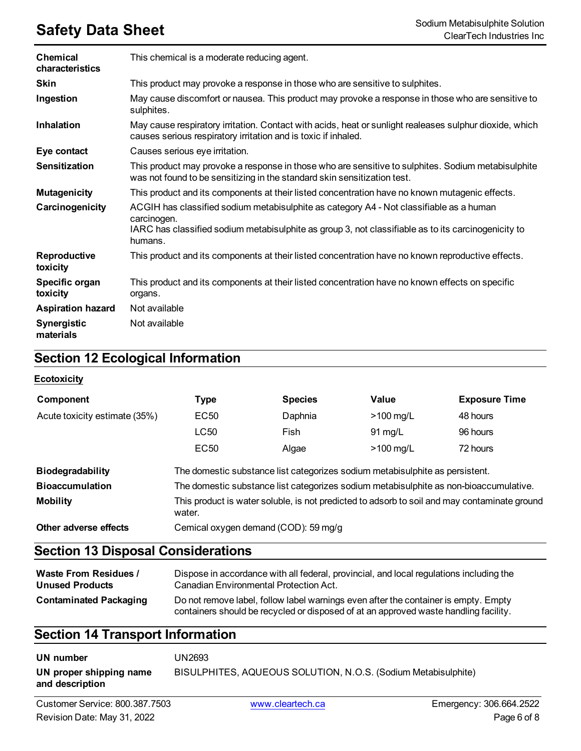| <b>Chemical</b><br>characteristics | This chemical is a moderate reducing agent.                                                                                                                                                                              |
|------------------------------------|--------------------------------------------------------------------------------------------------------------------------------------------------------------------------------------------------------------------------|
| <b>Skin</b>                        | This product may provoke a response in those who are sensitive to sulphites.                                                                                                                                             |
| Ingestion                          | May cause discomfort or nausea. This product may provoke a response in those who are sensitive to<br>sulphites.                                                                                                          |
| <b>Inhalation</b>                  | May cause respiratory irritation. Contact with acids, heat or sunlight realeases sulphur dioxide, which<br>causes serious respiratory irritation and is toxic if inhaled.                                                |
| Eye contact                        | Causes serious eye irritation.                                                                                                                                                                                           |
| <b>Sensitization</b>               | This product may provoke a response in those who are sensitive to sulphites. Sodium metabisulphite<br>was not found to be sensitizing in the standard skin sensitization test.                                           |
| <b>Mutagenicity</b>                | This product and its components at their listed concentration have no known mutagenic effects.                                                                                                                           |
| Carcinogenicity                    | ACGIH has classified sodium metabisulphite as category A4 - Not classifiable as a human<br>carcinogen.<br>IARC has classified sodium metabisulphite as group 3, not classifiable as to its carcinogenicity to<br>humans. |
| <b>Reproductive</b><br>toxicity    | This product and its components at their listed concentration have no known reproductive effects.                                                                                                                        |
| Specific organ<br>toxicity         | This product and its components at their listed concentration have no known effects on specific<br>organs.                                                                                                               |
| <b>Aspiration hazard</b>           | Not available                                                                                                                                                                                                            |
| <b>Synergistic</b><br>materials    | Not available                                                                                                                                                                                                            |

# **Section 12 Ecological Information**

### **Ecotoxicity**

| Component                     | <b>Type</b>      | <b>Species</b>                       | Value                                                                        | <b>Exposure Time</b>                                                                         |
|-------------------------------|------------------|--------------------------------------|------------------------------------------------------------------------------|----------------------------------------------------------------------------------------------|
| Acute toxicity estimate (35%) | EC50             | Daphnia                              | $>100$ mg/L                                                                  | 48 hours                                                                                     |
|                               | LC50             | Fish                                 | $91 \text{ mg/L}$                                                            | 96 hours                                                                                     |
|                               | EC <sub>50</sub> | Algae                                | $>100$ mg/L                                                                  | 72 hours                                                                                     |
| <b>Biodegradability</b>       |                  |                                      | The domestic substance list categorizes sodium metabisulphite as persistent. |                                                                                              |
| <b>Bioaccumulation</b>        |                  |                                      |                                                                              | The domestic substance list categorizes sodium metabisulphite as non-bioaccumulative.        |
| <b>Mobility</b>               | water.           |                                      |                                                                              | This product is water soluble, is not predicted to adsorb to soil and may contaminate ground |
| Other adverse effects         |                  | Cemical oxygen demand (COD): 59 mg/g |                                                                              |                                                                                              |

# **Section 13 Disposal Considerations**

| <b>Waste From Residues /</b>  | Dispose in accordance with all federal, provincial, and local regulations including the                                                                                     |
|-------------------------------|-----------------------------------------------------------------------------------------------------------------------------------------------------------------------------|
| <b>Unused Products</b>        | Canadian Environmental Protection Act.                                                                                                                                      |
| <b>Contaminated Packaging</b> | Do not remove label, follow label warnings even after the container is empty. Empty<br>containers should be recycled or disposed of at an approved waste handling facility. |

# **Section 14 Transport Information**

| UN number                                  | UN2693.                                                       |
|--------------------------------------------|---------------------------------------------------------------|
| UN proper shipping name<br>and description | BISULPHITES, AQUEOUS SOLUTION, N.O.S. (Sodium Metabisulphite) |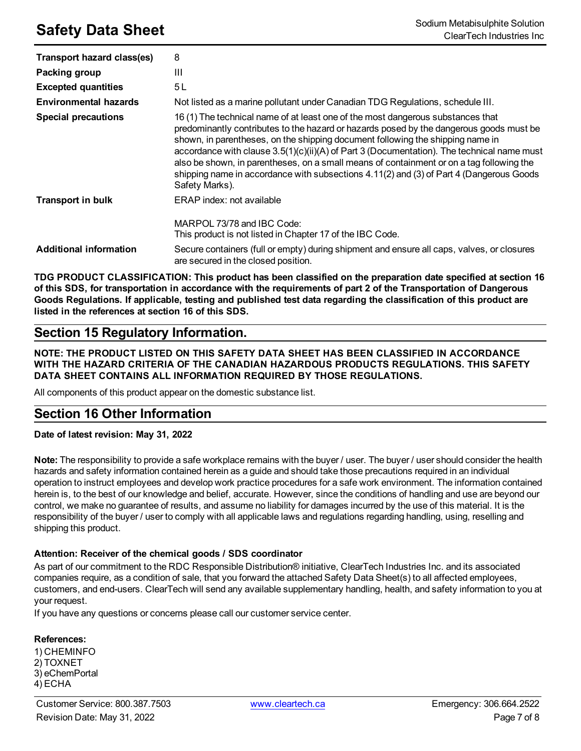| Transport hazard class(es)    | 8                                                                                                                                                                                                                                                                                                                                                                                                                                                                                                                                                                   |
|-------------------------------|---------------------------------------------------------------------------------------------------------------------------------------------------------------------------------------------------------------------------------------------------------------------------------------------------------------------------------------------------------------------------------------------------------------------------------------------------------------------------------------------------------------------------------------------------------------------|
| Packing group                 | Ш                                                                                                                                                                                                                                                                                                                                                                                                                                                                                                                                                                   |
| <b>Excepted quantities</b>    | 5 L                                                                                                                                                                                                                                                                                                                                                                                                                                                                                                                                                                 |
| <b>Environmental hazards</b>  | Not listed as a marine pollutant under Canadian TDG Regulations, schedule III.                                                                                                                                                                                                                                                                                                                                                                                                                                                                                      |
| <b>Special precautions</b>    | 16 (1) The technical name of at least one of the most dangerous substances that<br>predominantly contributes to the hazard or hazards posed by the dangerous goods must be<br>shown, in parentheses, on the shipping document following the shipping name in<br>accordance with clause 3.5(1)(c)(ii)(A) of Part 3 (Documentation). The technical name must<br>also be shown, in parentheses, on a small means of containment or on a tag following the<br>shipping name in accordance with subsections 4.11(2) and (3) of Part 4 (Dangerous Goods<br>Safety Marks). |
| <b>Transport in bulk</b>      | ERAP index: not available                                                                                                                                                                                                                                                                                                                                                                                                                                                                                                                                           |
|                               | MARPOL 73/78 and IBC Code:<br>This product is not listed in Chapter 17 of the IBC Code.                                                                                                                                                                                                                                                                                                                                                                                                                                                                             |
| <b>Additional information</b> | Secure containers (full or empty) during shipment and ensure all caps, valves, or closures<br>are secured in the closed position.                                                                                                                                                                                                                                                                                                                                                                                                                                   |

**TDG PRODUCT CLASSIFICATION: This product has been classified on the preparation date specified at section 16** of this SDS, for transportation in accordance with the requirements of part 2 of the Transportation of Dangerous Goods Regulations. If applicable, testing and published test data regarding the classification of this product are **listed in the references at section 16 of this SDS.**

# **Section 15 Regulatory Information.**

**NOTE: THE PRODUCT LISTED ON THIS SAFETY DATA SHEET HAS BEEN CLASSIFIED IN ACCORDANCE WITH THE HAZARD CRITERIA OF THE CANADIAN HAZARDOUS PRODUCTS REGULATIONS. THIS SAFETY DATA SHEET CONTAINS ALL INFORMATION REQUIRED BY THOSE REGULATIONS.**

All components of this product appear on the domestic substance list.

# **Section 16 Other Information**

**Date of latest revision: May 31, 2022**

**Note:** The responsibility to provide a safe workplace remains with the buyer / user. The buyer / user should consider the health hazards and safety information contained herein as a guide and should take those precautions required in an individual operation to instruct employees and develop work practice procedures for a safe work environment. The information contained herein is, to the best of our knowledge and belief, accurate. However, since the conditions of handling and use are beyond our control, we make no guarantee of results, and assume no liability for damages incurred by the use of this material. It is the responsibility of the buyer / user to comply with all applicable laws and regulations regarding handling, using, reselling and shipping this product.

### **Attention: Receiver of the chemical goods / SDS coordinator**

As part of our commitment to the RDC Responsible Distribution® initiative, ClearTech Industries Inc. and its associated companies require, as a condition of sale, that you forward the attached Safety Data Sheet(s) to all affected employees, customers, and end-users. ClearTech will send any available supplementary handling, health, and safety information to you at your request.

If you have any questions or concerns please call our customer service center.

### **References:**

1) CHEMINFO 2) TOXNET 3) eChemPortal 4) ECHA